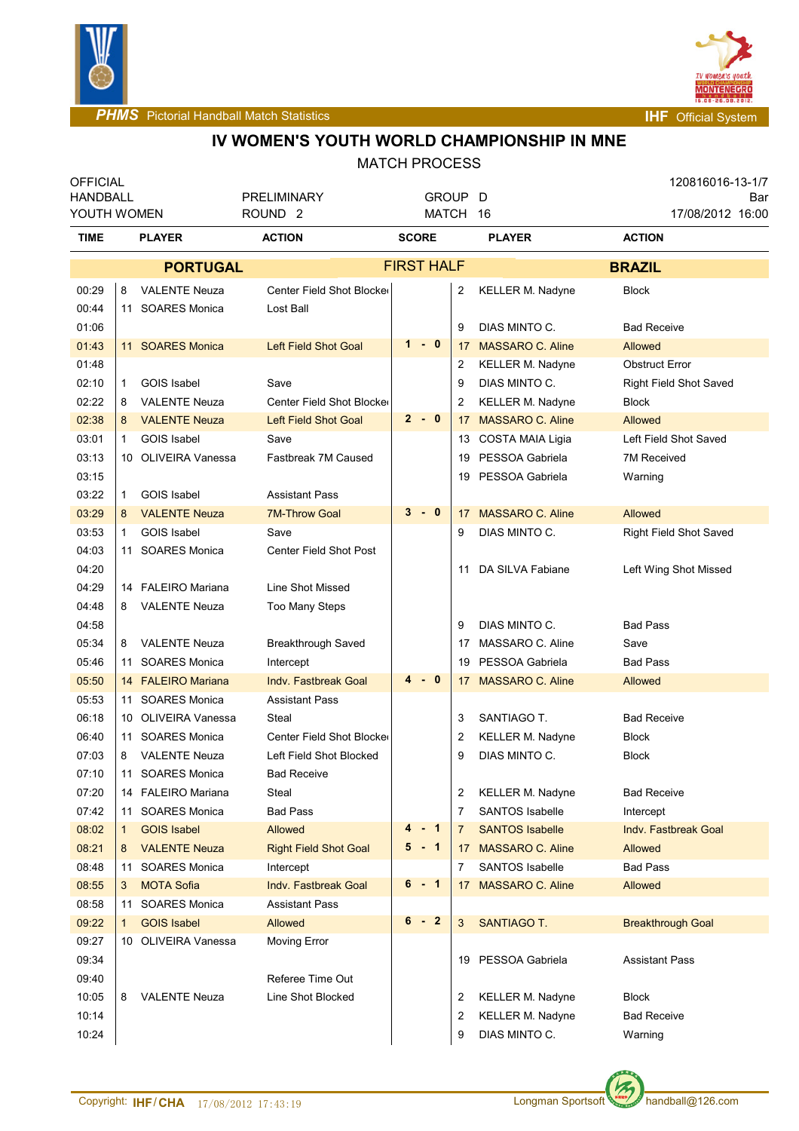



**PHMS** Pictorial Handball Match Statistics **Internal Physics INF** Official System

# **IV WOMEN'S YOUTH WORLD CHAMPIONSHIP IN MNE**

| <b>OFFICIAL</b> |              |                      |                               |                   |    |                         |  | 120816016-13-1/7              |     |
|-----------------|--------------|----------------------|-------------------------------|-------------------|----|-------------------------|--|-------------------------------|-----|
| HANDBALL        |              |                      | <b>PRELIMINARY</b>            | GROUP D           |    |                         |  |                               | Bar |
|                 | YOUTH WOMEN  |                      | ROUND <sub>2</sub>            | MATCH 16          |    |                         |  | 17/08/2012 16:00              |     |
| TIME            |              | <b>PLAYER</b>        | <b>ACTION</b>                 | <b>SCORE</b>      |    | <b>PLAYER</b>           |  | <b>ACTION</b>                 |     |
|                 |              | <b>PORTUGAL</b>      |                               | <b>FIRST HALF</b> |    |                         |  | <b>BRAZIL</b>                 |     |
| 00:29           | 8            | <b>VALENTE Neuza</b> | Center Field Shot Blocker     |                   | 2  | <b>KELLER M. Nadyne</b> |  | <b>Block</b>                  |     |
| 00:44           |              | 11 SOARES Monica     | Lost Ball                     |                   |    |                         |  |                               |     |
| 01:06           |              |                      |                               |                   | 9  | DIAS MINTO C.           |  | <b>Bad Receive</b>            |     |
| 01:43           |              | 11 SOARES Monica     | Left Field Shot Goal          | $1 - 0$           | 17 | <b>MASSARO C. Aline</b> |  | Allowed                       |     |
| 01:48           |              |                      |                               |                   | 2  | <b>KELLER M. Nadyne</b> |  | <b>Obstruct Error</b>         |     |
| 02:10           | $\mathbf{1}$ | <b>GOIS Isabel</b>   | Save                          |                   | 9  | DIAS MINTO C.           |  | Right Field Shot Saved        |     |
| 02:22           | 8            | <b>VALENTE Neuza</b> | Center Field Shot Blocker     |                   | 2  | <b>KELLER M. Nadyne</b> |  | <b>Block</b>                  |     |
| 02:38           | 8            | <b>VALENTE Neuza</b> | <b>Left Field Shot Goal</b>   | $2 - 0$           | 17 | <b>MASSARO C. Aline</b> |  | Allowed                       |     |
| 03:01           | $\mathbf{1}$ | <b>GOIS Isabel</b>   | Save                          |                   |    | 13 COSTA MAIA Ligia     |  | Left Field Shot Saved         |     |
| 03:13           |              | 10 OLIVEIRA Vanessa  | Fastbreak 7M Caused           |                   | 19 | PESSOA Gabriela         |  | <b>7M Received</b>            |     |
| 03:15           |              |                      |                               |                   | 19 | PESSOA Gabriela         |  | Warning                       |     |
| 03:22           | 1            | GOIS Isabel          | <b>Assistant Pass</b>         |                   |    |                         |  |                               |     |
| 03:29           | 8            | <b>VALENTE Neuza</b> | <b>7M-Throw Goal</b>          | $3 - 0$           | 17 | <b>MASSARO C. Aline</b> |  | Allowed                       |     |
| 03:53           | $\mathbf 1$  | GOIS Isabel          | Save                          |                   | 9  | DIAS MINTO C.           |  | <b>Right Field Shot Saved</b> |     |
| 04:03           | 11           | <b>SOARES Monica</b> | <b>Center Field Shot Post</b> |                   |    |                         |  |                               |     |
| 04:20           |              |                      |                               |                   | 11 | DA SILVA Fabiane        |  | Left Wing Shot Missed         |     |
| 04:29           |              | 14 FALEIRO Mariana   | Line Shot Missed              |                   |    |                         |  |                               |     |
| 04:48           | 8            | <b>VALENTE Neuza</b> | <b>Too Many Steps</b>         |                   |    |                         |  |                               |     |
| 04:58           |              |                      |                               |                   | 9  | DIAS MINTO C.           |  | <b>Bad Pass</b>               |     |
| 05:34           | 8            | <b>VALENTE Neuza</b> | Breakthrough Saved            |                   | 17 | MASSARO C. Aline        |  | Save                          |     |
| 05:46           | 11           | <b>SOARES Monica</b> | Intercept                     |                   | 19 | PESSOA Gabriela         |  | <b>Bad Pass</b>               |     |
| 05:50           |              | 14 FALEIRO Mariana   | <b>Indy. Fastbreak Goal</b>   | 4<br>- 0          | 17 | <b>MASSARO C. Aline</b> |  | <b>Allowed</b>                |     |
| 05:53           | 11           | <b>SOARES Monica</b> | <b>Assistant Pass</b>         |                   |    |                         |  |                               |     |
| 06:18           |              | 10 OLIVEIRA Vanessa  | Steal                         |                   | 3  | SANTIAGO T.             |  | <b>Bad Receive</b>            |     |
| 06:40           |              | 11 SOARES Monica     | Center Field Shot Blocker     |                   | 2  | KELLER M. Nadyne        |  | <b>Block</b>                  |     |
| 07:03           | 8            | <b>VALENTE Neuza</b> | Left Field Shot Blocked       |                   | 9  | DIAS MINTO C.           |  | <b>Block</b>                  |     |
| 07:10           | 11           | <b>SOARES Monica</b> | <b>Bad Receive</b>            |                   |    |                         |  |                               |     |
| 07:20           |              | 14 FALEIRO Mariana   | Steal                         |                   | 2  | <b>KELLER M. Nadyne</b> |  | <b>Bad Receive</b>            |     |
| 07:42           | 11           | <b>SOARES Monica</b> | <b>Bad Pass</b>               |                   | 7  | <b>SANTOS Isabelle</b>  |  | Intercept                     |     |
| 08:02           |              | <b>GOIS Isabel</b>   | <b>Allowed</b>                | 4 - 1             | 7  | <b>SANTOS Isabelle</b>  |  | <b>Indv. Fastbreak Goal</b>   |     |
|                 | $\mathbf 1$  |                      |                               | $5 - 1$           |    |                         |  |                               |     |
| 08:21           | 8            | <b>VALENTE Neuza</b> | <b>Right Field Shot Goal</b>  |                   | 17 | <b>MASSARO C. Aline</b> |  | Allowed                       |     |
| 08:48           | 11           | <b>SOARES Monica</b> | Intercept                     | 6 - 1             | 7  | SANTOS Isabelle         |  | <b>Bad Pass</b>               |     |
| 08:55           | 3            | <b>MOTA Sofia</b>    | Indy. Fastbreak Goal          |                   | 17 | <b>MASSARO C. Aline</b> |  | Allowed                       |     |
| 08:58           | 11           | <b>SOARES Monica</b> | <b>Assistant Pass</b>         |                   |    |                         |  |                               |     |
| 09:22           | $\mathbf 1$  | <b>GOIS Isabel</b>   | Allowed                       | 6<br>$-2$         | 3  | <b>SANTIAGO T.</b>      |  | <b>Breakthrough Goal</b>      |     |
| 09:27           |              | 10 OLIVEIRA Vanessa  | Moving Error                  |                   |    |                         |  |                               |     |
| 09:34           |              |                      |                               |                   | 19 | PESSOA Gabriela         |  | <b>Assistant Pass</b>         |     |
| 09:40           |              |                      | Referee Time Out              |                   |    |                         |  |                               |     |
| 10:05           | 8            | <b>VALENTE Neuza</b> | Line Shot Blocked             |                   | 2  | KELLER M. Nadyne        |  | <b>Block</b>                  |     |
| 10:14           |              |                      |                               |                   | 2  | <b>KELLER M. Nadyne</b> |  | <b>Bad Receive</b>            |     |
| 10:24           |              |                      |                               |                   | 9  | DIAS MINTO C.           |  | Warning                       |     |
|                 |              |                      |                               |                   |    |                         |  |                               |     |

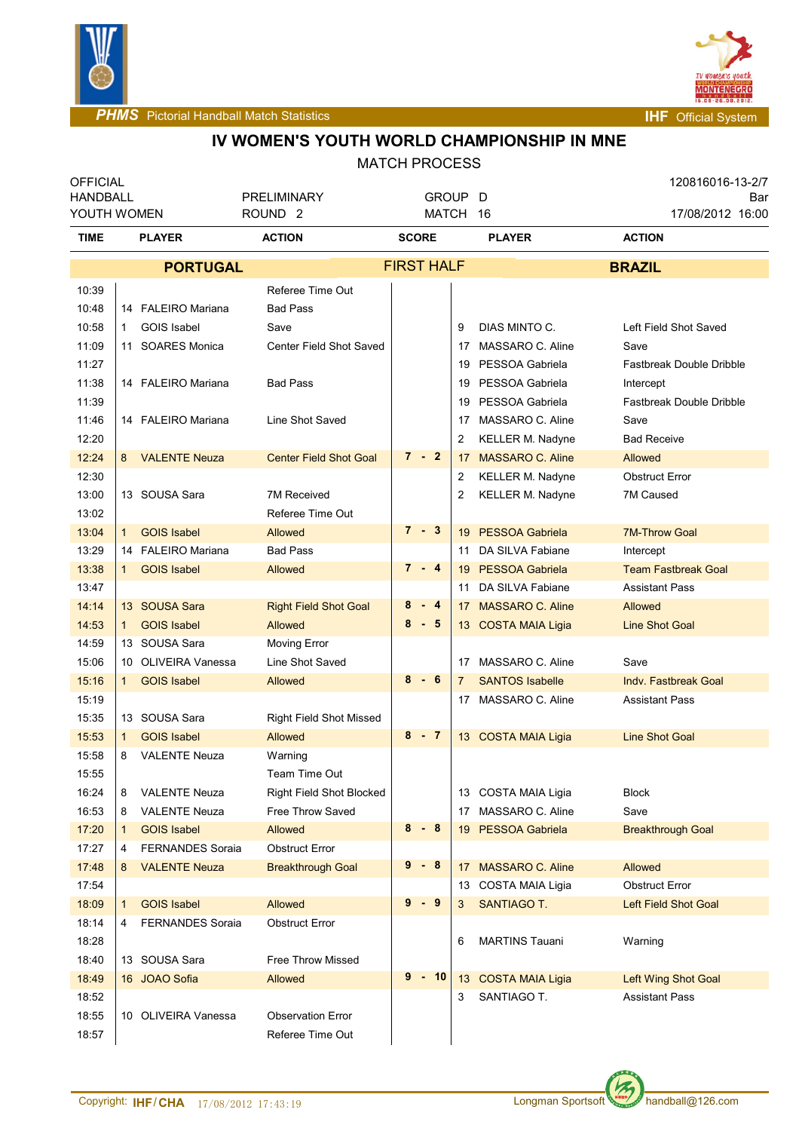



## **IV WOMEN'S YOUTH WORLD CHAMPIONSHIP IN MNE**

| <b>OFFICIAL</b><br><b>HANDBALL</b><br>YOUTH WOMEN |              |                         | PRELIMINARY<br>ROUND <sub>2</sub> | GROUP D<br>MATCH 16 |                               |                 |                            |                    | 120816016-13-2/7<br>17/08/2012 16:00 | Bar |
|---------------------------------------------------|--------------|-------------------------|-----------------------------------|---------------------|-------------------------------|-----------------|----------------------------|--------------------|--------------------------------------|-----|
| TIME                                              |              | <b>PLAYER</b>           | <b>ACTION</b>                     | <b>SCORE</b>        |                               |                 | <b>PLAYER</b>              | <b>ACTION</b>      |                                      |     |
|                                                   |              | <b>PORTUGAL</b>         |                                   | <b>FIRST HALF</b>   |                               |                 |                            | <b>BRAZIL</b>      |                                      |     |
| 10:39                                             |              |                         | Referee Time Out                  |                     |                               |                 |                            |                    |                                      |     |
| 10:48                                             |              | 14 FALEIRO Mariana      | <b>Bad Pass</b>                   |                     |                               |                 |                            |                    |                                      |     |
| 10:58                                             | 1.           | GOIS Isabel             | Save                              |                     |                               | 9               | DIAS MINTO C.              |                    | Left Field Shot Saved                |     |
| 11:09                                             |              | 11 SOARES Monica        | Center Field Shot Saved           |                     |                               | 17              | MASSARO C. Aline           | Save               |                                      |     |
| 11:27                                             |              |                         |                                   |                     |                               | 19              | PESSOA Gabriela            |                    | <b>Fastbreak Double Dribble</b>      |     |
| 11:38                                             |              | 14 FALEIRO Mariana      | <b>Bad Pass</b>                   |                     |                               | 19              | PESSOA Gabriela            | Intercept          |                                      |     |
| 11:39                                             |              |                         |                                   |                     |                               | 19              | PESSOA Gabriela            |                    | Fastbreak Double Dribble             |     |
| 11:46                                             |              | 14 FALEIRO Mariana      | Line Shot Saved                   |                     |                               | 17              | MASSARO C. Aline           | Save               |                                      |     |
| 12:20                                             |              |                         |                                   |                     |                               | 2               | <b>KELLER M. Nadyne</b>    | <b>Bad Receive</b> |                                      |     |
| 12:24                                             |              | 8 VALENTE Neuza         | <b>Center Field Shot Goal</b>     | $7 - 2$             |                               | 17              | <b>MASSARO C. Aline</b>    | <b>Allowed</b>     |                                      |     |
| 12:30                                             |              |                         |                                   |                     |                               | 2               | <b>KELLER M. Nadyne</b>    |                    | <b>Obstruct Error</b>                |     |
| 13:00                                             |              | 13 SOUSA Sara           | 7M Received                       |                     |                               | 2               | <b>KELLER M. Nadyne</b>    | 7M Caused          |                                      |     |
| 13:02                                             |              |                         | Referee Time Out                  |                     |                               |                 |                            |                    |                                      |     |
| 13:04                                             | 1            | <b>GOIS Isabel</b>      | <b>Allowed</b>                    |                     | $7 - 3$                       |                 | 19 PESSOA Gabriela         |                    | <b>7M-Throw Goal</b>                 |     |
| 13:29                                             |              | 14 FALEIRO Mariana      | <b>Bad Pass</b>                   |                     |                               | 11              | DA SILVA Fabiane           | Intercept          |                                      |     |
| 13:38                                             | $\mathbf 1$  | <b>GOIS Isabel</b>      | <b>Allowed</b>                    |                     | $7 - 4$<br>19 PESSOA Gabriela |                 | <b>Team Fastbreak Goal</b> |                    |                                      |     |
| 13:47                                             |              |                         |                                   |                     |                               | 11              | DA SILVA Fabiane           |                    | <b>Assistant Pass</b>                |     |
| 14:14                                             |              | 13 SOUSA Sara           | <b>Right Field Shot Goal</b>      | 8                   | $-4$                          | 17              | <b>MASSARO C. Aline</b>    | Allowed            |                                      |     |
| 14:53                                             | $\mathbf{1}$ | <b>GOIS Isabel</b>      | <b>Allowed</b>                    | $8 - 5$             |                               |                 | 13 COSTA MAIA Ligia        |                    | <b>Line Shot Goal</b>                |     |
| 14:59                                             |              | 13 SOUSA Sara           | Moving Error                      |                     |                               |                 |                            |                    |                                      |     |
| 15:06                                             |              | 10 OLIVEIRA Vanessa     | Line Shot Saved                   |                     |                               |                 | 17 MASSARO C. Aline        | Save               |                                      |     |
| 15:16                                             | 1.           | <b>GOIS Isabel</b>      | <b>Allowed</b>                    | 8                   | - 6                           | $\mathbf{7}$    | <b>SANTOS Isabelle</b>     |                    | <b>Indv. Fastbreak Goal</b>          |     |
| 15:19                                             |              |                         |                                   |                     |                               |                 | 17 MASSARO C. Aline        |                    | <b>Assistant Pass</b>                |     |
| 15:35                                             |              | 13 SOUSA Sara           | <b>Right Field Shot Missed</b>    |                     |                               |                 |                            |                    |                                      |     |
| 15:53                                             | $\mathbf{1}$ | <b>GOIS Isabel</b>      | Allowed                           | $8 - 7$             |                               |                 | 13 COSTA MAIA Ligia        |                    | <b>Line Shot Goal</b>                |     |
| 15:58                                             | 8            | <b>VALENTE Neuza</b>    | Warning                           |                     |                               |                 |                            |                    |                                      |     |
| 15:55                                             |              |                         | Team Time Out                     |                     |                               |                 |                            |                    |                                      |     |
| 16:24                                             | 8            | <b>VALENTE Neuza</b>    | <b>Right Field Shot Blocked</b>   |                     |                               |                 | 13 COSTA MAIA Ligia        | <b>Block</b>       |                                      |     |
| 16:53                                             | 8            | <b>VALENTE Neuza</b>    | Free Throw Saved                  |                     |                               | 17              | MASSARO C. Aline           | Save               |                                      |     |
| 17:20                                             | $\mathbf 1$  | <b>GOIS Isabel</b>      | Allowed                           | 8                   | - 8                           |                 | 19 PESSOA Gabriela         |                    | <b>Breakthrough Goal</b>             |     |
| 17:27                                             | 4            | <b>FERNANDES Soraia</b> | <b>Obstruct Error</b>             |                     |                               |                 |                            |                    |                                      |     |
| 17:48                                             | 8            | <b>VALENTE Neuza</b>    | <b>Breakthrough Goal</b>          | 9                   | - 8                           | 17              | <b>MASSARO C. Aline</b>    | Allowed            |                                      |     |
| 17:54                                             |              |                         |                                   |                     |                               |                 | 13 COSTA MAIA Ligia        |                    | <b>Obstruct Error</b>                |     |
| 18:09                                             | 1            | <b>GOIS Isabel</b>      | Allowed                           | $9 - 9$             |                               | 3               | SANTIAGO T.                |                    | <b>Left Field Shot Goal</b>          |     |
| 18:14                                             | 4            | <b>FERNANDES Soraia</b> | <b>Obstruct Error</b>             |                     |                               |                 |                            |                    |                                      |     |
| 18:28                                             |              |                         |                                   |                     |                               | 6               | <b>MARTINS Tauani</b>      | Warning            |                                      |     |
| 18:40                                             |              | 13 SOUSA Sara           | Free Throw Missed                 |                     |                               |                 |                            |                    |                                      |     |
| 18:49                                             |              | 16 JOAO Sofia           | Allowed                           | 9                   | $-10$                         | 13 <sup>°</sup> | <b>COSTA MAIA Ligia</b>    |                    | Left Wing Shot Goal                  |     |
| 18:52                                             |              |                         |                                   |                     |                               | 3               | SANTIAGO T.                |                    | <b>Assistant Pass</b>                |     |
| 18:55                                             |              | 10 OLIVEIRA Vanessa     | <b>Observation Error</b>          |                     |                               |                 |                            |                    |                                      |     |
| 18:57                                             |              |                         | Referee Time Out                  |                     |                               |                 |                            |                    |                                      |     |

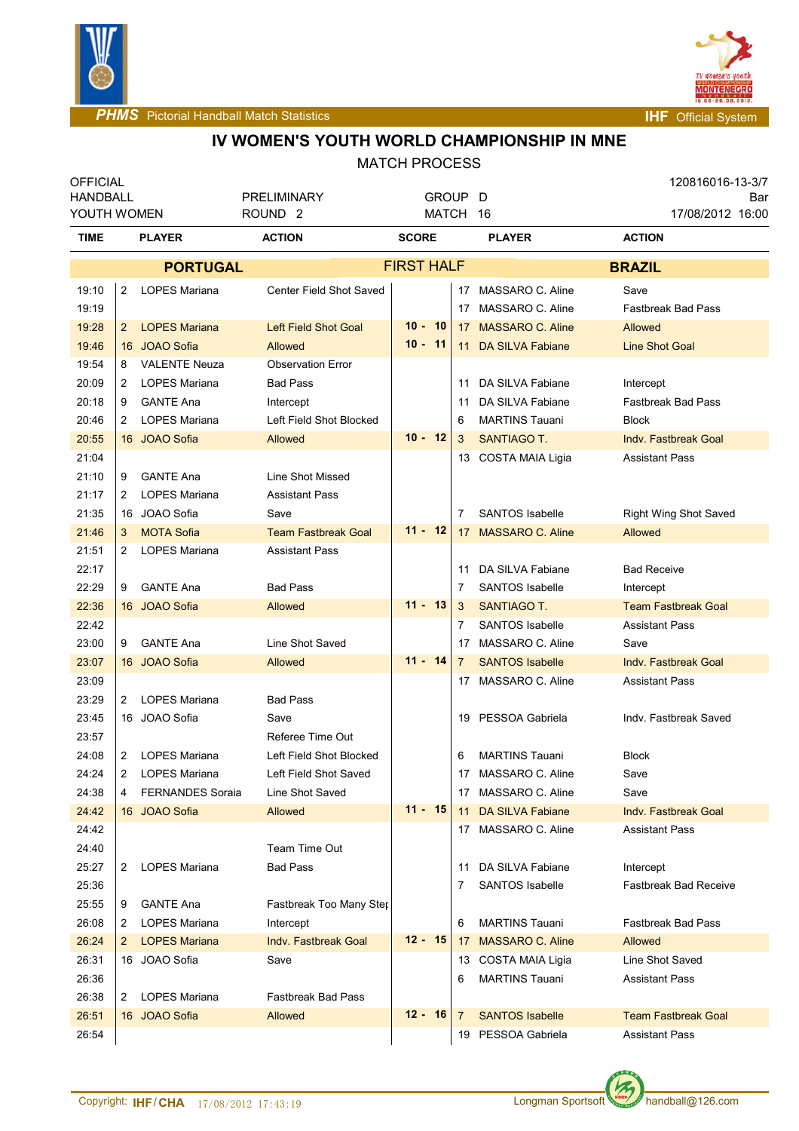



# **IV WOMEN'S YOUTH WORLD CHAMPIONSHIP IN MNE**

| <b>OFFICIAL</b><br><b>HANDBALL</b> |                |                         |                                          |  | GROUP D           |      |                |                         |                    | 120816016-13-3/7             |     |
|------------------------------------|----------------|-------------------------|------------------------------------------|--|-------------------|------|----------------|-------------------------|--------------------|------------------------------|-----|
| YOUTH WOMEN                        |                |                         | <b>PRELIMINARY</b><br>ROUND <sub>2</sub> |  | MATCH 16          |      |                |                         |                    | 17/08/2012 16:00             | Bar |
| <b>TIME</b>                        | <b>PLAYER</b>  |                         | <b>ACTION</b>                            |  | <b>SCORE</b>      |      |                | <b>PLAYER</b>           | <b>ACTION</b>      |                              |     |
|                                    |                | <b>PORTUGAL</b>         |                                          |  | <b>FIRST HALF</b> |      |                |                         | <b>BRAZIL</b>      |                              |     |
| 19:10                              | $\overline{2}$ | <b>LOPES Mariana</b>    | Center Field Shot Saved                  |  |                   |      |                | 17 MASSARO C. Aline     | Save               |                              |     |
| 19:19                              |                |                         |                                          |  |                   |      |                | 17 MASSARO C. Aline     |                    | <b>Fastbreak Bad Pass</b>    |     |
| 19:28                              | $2^{\circ}$    | <b>LOPES Mariana</b>    | <b>Left Field Shot Goal</b>              |  | $10 -$            | - 10 |                | 17 MASSARO C. Aline     | Allowed            |                              |     |
| 19:46                              |                | 16 JOAO Sofia           | Allowed                                  |  | $10 - 11$         |      |                | 11 DA SILVA Fabiane     |                    | <b>Line Shot Goal</b>        |     |
| 19:54                              | 8              | <b>VALENTE Neuza</b>    | <b>Observation Error</b>                 |  |                   |      |                |                         |                    |                              |     |
| 20:09                              | 2              | LOPES Mariana           | <b>Bad Pass</b>                          |  |                   |      | 11             | DA SILVA Fabiane        | Intercept          |                              |     |
| 20:18                              | 9              | <b>GANTE Ana</b>        | Intercept                                |  |                   |      | 11             | DA SILVA Fabiane        |                    | <b>Fastbreak Bad Pass</b>    |     |
| 20:46                              | 2              | LOPES Mariana           | Left Field Shot Blocked                  |  |                   |      | 6              | <b>MARTINS Tauani</b>   | <b>Block</b>       |                              |     |
| 20:55                              |                | 16 JOAO Sofia           | <b>Allowed</b>                           |  | $10 - 12$         |      | 3              | <b>SANTIAGO T.</b>      |                    | <b>Indy. Fastbreak Goal</b>  |     |
| 21:04                              |                |                         |                                          |  |                   |      |                | 13 COSTA MAIA Ligia     |                    | <b>Assistant Pass</b>        |     |
| 21:10                              | 9              | <b>GANTE Ana</b>        | Line Shot Missed                         |  |                   |      |                |                         |                    |                              |     |
| 21:17                              | 2              | LOPES Mariana           | <b>Assistant Pass</b>                    |  |                   |      |                |                         |                    |                              |     |
| 21:35                              |                | 16 JOAO Sofia           | Save                                     |  |                   |      | $\overline{7}$ | <b>SANTOS Isabelle</b>  |                    | <b>Right Wing Shot Saved</b> |     |
| 21:46                              | 3              | <b>MOTA Sofia</b>       | <b>Team Fastbreak Goal</b>               |  | $11 - 12$         |      |                | 17 MASSARO C. Aline     | Allowed            |                              |     |
| 21:51                              | 2              | LOPES Mariana           | <b>Assistant Pass</b>                    |  |                   |      |                |                         |                    |                              |     |
| 22:17                              |                |                         |                                          |  |                   |      |                | 11 DA SILVA Fabiane     | <b>Bad Receive</b> |                              |     |
| 22:29                              | 9              | <b>GANTE Ana</b>        | <b>Bad Pass</b>                          |  |                   |      | 7              | <b>SANTOS Isabelle</b>  | Intercept          |                              |     |
| 22:36                              |                | 16 JOAO Sofia           | <b>Allowed</b>                           |  | $11 - 13$         |      | 3              | <b>SANTIAGO T.</b>      |                    | <b>Team Fastbreak Goal</b>   |     |
| 22:42                              |                |                         |                                          |  |                   |      | 7              | <b>SANTOS Isabelle</b>  |                    | <b>Assistant Pass</b>        |     |
| 23:00                              | 9              | <b>GANTE Ana</b>        | Line Shot Saved                          |  |                   |      | 17             | MASSARO C. Aline        | Save               |                              |     |
| 23:07                              |                | 16 JOAO Sofia           | Allowed                                  |  | $11 - 14$         |      | $\overline{7}$ | <b>SANTOS Isabelle</b>  |                    | <b>Indy. Fastbreak Goal</b>  |     |
| 23:09                              |                |                         |                                          |  |                   |      |                | 17 MASSARO C. Aline     |                    | <b>Assistant Pass</b>        |     |
| 23:29                              | $\overline{2}$ | LOPES Mariana           | <b>Bad Pass</b>                          |  |                   |      |                |                         |                    |                              |     |
| 23:45                              |                | 16 JOAO Sofia           | Save                                     |  |                   |      | 19             | PESSOA Gabriela         |                    | Indv. Fastbreak Saved        |     |
| 23:57                              |                |                         | Referee Time Out                         |  |                   |      |                |                         |                    |                              |     |
| 24:08                              | $\overline{2}$ | <b>LOPES Mariana</b>    | Left Field Shot Blocked                  |  |                   |      | 6              | <b>MARTINS Tauani</b>   | <b>Block</b>       |                              |     |
| 24:24                              |                | 2 LOPES Mariana         | Left Field Shot Saved                    |  |                   |      |                | 17 MASSARO C. Aline     | Save               |                              |     |
| 24:38                              | 4              | <b>FERNANDES Soraia</b> | Line Shot Saved                          |  |                   |      |                | 17 MASSARO C. Aline     | Save               |                              |     |
| 24:42                              |                | 16 JOAO Sofia           | Allowed                                  |  | $11 - 15$         |      | 11             | <b>DA SILVA Fabiane</b> |                    | Indy. Fastbreak Goal         |     |
| 24:42                              |                |                         |                                          |  |                   |      |                | 17 MASSARO C. Aline     |                    | <b>Assistant Pass</b>        |     |
| 24:40                              |                |                         | Team Time Out                            |  |                   |      |                |                         |                    |                              |     |
| 25:27                              | $\mathbf{2}$   | LOPES Mariana           | <b>Bad Pass</b>                          |  |                   |      | 11             | DA SILVA Fabiane        | Intercept          |                              |     |
| 25:36                              |                |                         |                                          |  |                   |      | 7              | <b>SANTOS Isabelle</b>  |                    | <b>Fastbreak Bad Receive</b> |     |
| 25:55                              | 9              | <b>GANTE Ana</b>        | Fastbreak Too Many Ster                  |  |                   |      |                |                         |                    |                              |     |
| 26:08                              | 2              | LOPES Mariana           | Intercept                                |  |                   |      | 6              | <b>MARTINS Tauani</b>   |                    | <b>Fastbreak Bad Pass</b>    |     |
| 26:24                              | $\mathbf{2}$   | <b>LOPES Mariana</b>    | <b>Indy. Fastbreak Goal</b>              |  | $12 - 15$         |      | 17             | <b>MASSARO C. Aline</b> | Allowed            |                              |     |
| 26:31                              |                | 16 JOAO Sofia           | Save                                     |  |                   |      |                | 13 COSTA MAIA Ligia     |                    | Line Shot Saved              |     |
| 26:36                              |                |                         |                                          |  |                   |      | 6              | <b>MARTINS Tauani</b>   |                    | <b>Assistant Pass</b>        |     |
| 26:38                              | $\overline{2}$ | LOPES Mariana           | <b>Fastbreak Bad Pass</b>                |  |                   |      |                |                         |                    |                              |     |
| 26:51                              |                | 16 JOAO Sofia           | Allowed                                  |  | $12 - 16$         |      | 7              | <b>SANTOS Isabelle</b>  |                    | <b>Team Fastbreak Goal</b>   |     |
| 26:54                              |                |                         |                                          |  |                   |      |                | 19 PESSOA Gabriela      |                    | <b>Assistant Pass</b>        |     |

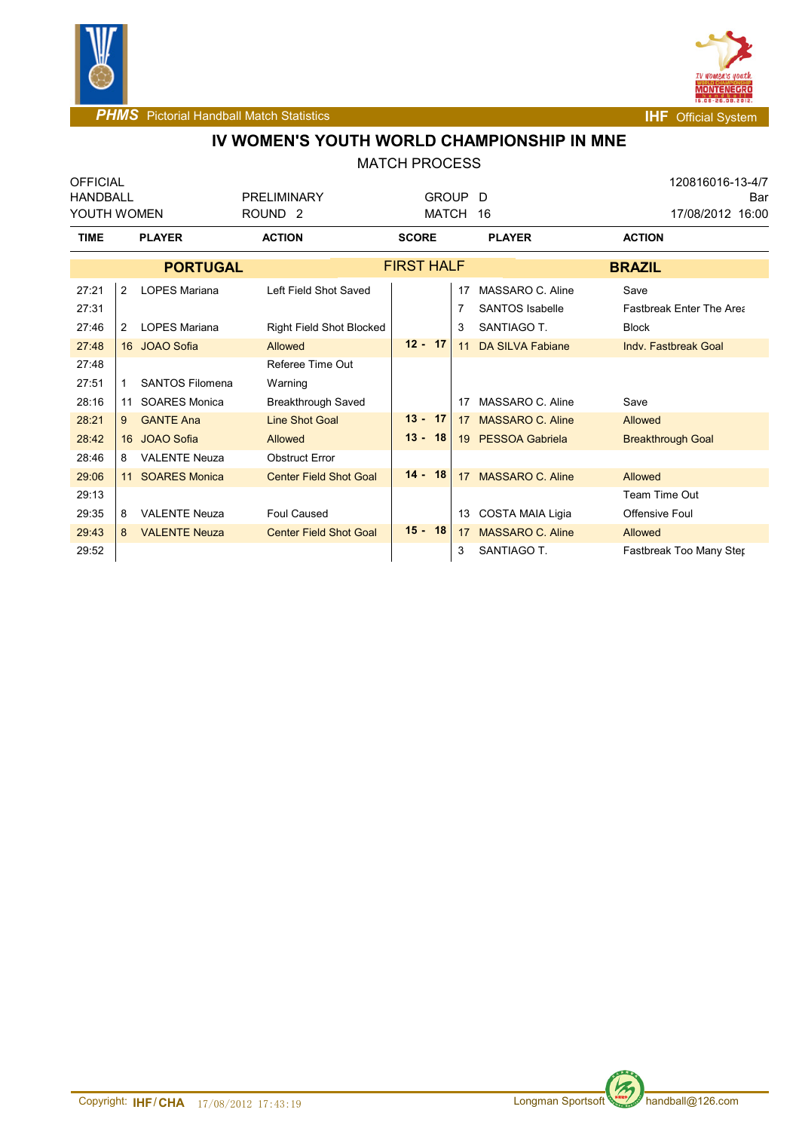



# **IV WOMEN'S YOUTH WORLD CHAMPIONSHIP IN MNE**

| <b>OFFICIAL</b><br><b>HANDBALL</b><br>YOUTH WOMEN |                     |                                                           | <b>PRELIMINARY</b><br>ROUND <sub>2</sub>                  | GROUP D<br><b>MATCH</b>   |          | 16                                                            | 120816016-13-4/7<br>Bar<br>17/08/2012 16:00                 |  |  |
|---------------------------------------------------|---------------------|-----------------------------------------------------------|-----------------------------------------------------------|---------------------------|----------|---------------------------------------------------------------|-------------------------------------------------------------|--|--|
| <b>TIME</b>                                       |                     | <b>PLAYER</b>                                             | <b>ACTION</b>                                             | <b>SCORE</b>              |          | <b>PLAYER</b>                                                 | <b>ACTION</b>                                               |  |  |
|                                                   |                     | <b>PORTUGAL</b>                                           |                                                           | <b>FIRST HALF</b>         |          |                                                               | <b>BRAZIL</b>                                               |  |  |
| 27:21<br>27:31<br>27:46                           | 2<br>$\overline{2}$ | <b>LOPES Mariana</b><br><b>LOPES Mariana</b>              | Left Field Shot Saved<br><b>Right Field Shot Blocked</b>  |                           | 17<br>3  | MASSARO C. Aline<br><b>SANTOS Isabelle</b><br>SANTIAGO T.     | Save<br><b>Fastbreak Enter The Area</b><br><b>Block</b>     |  |  |
| 27:48<br>27:48                                    |                     | 16 JOAO Sofia                                             | Allowed<br>Referee Time Out                               | $12 - 17$                 | 11       | <b>DA SILVA Fabiane</b>                                       | Indy, Fastbreak Goal                                        |  |  |
| 27:51<br>28:16                                    | 11                  | SANTOS Filomena<br><b>SOARES Monica</b>                   | Warning<br><b>Breakthrough Saved</b>                      |                           | 17       | MASSARO C. Aline                                              | Save                                                        |  |  |
| 28:21<br>28:42<br>28:46                           | 9<br>8              | <b>GANTE Ana</b><br>16 JOAO Sofia<br><b>VALENTE Neuza</b> | <b>Line Shot Goal</b><br>Allowed<br><b>Obstruct Error</b> | $13 -$<br>17<br>$13 - 18$ | 17<br>19 | <b>MASSARO C. Aline</b><br><b>PESSOA Gabriela</b>             | Allowed<br><b>Breakthrough Goal</b>                         |  |  |
| 29:06<br>29:13                                    | 11                  | <b>SOARES Monica</b>                                      | <b>Center Field Shot Goal</b>                             | $14 -$<br>18              | 17       | <b>MASSARO C. Aline</b>                                       | Allowed<br>Team Time Out                                    |  |  |
| 29:35<br>29:43<br>29:52                           | 8<br>8              | <b>VALENTE Neuza</b><br><b>VALENTE Neuza</b>              | <b>Foul Caused</b><br><b>Center Field Shot Goal</b>       | $15 - 18$                 | 17<br>3  | 13 COSTA MAIA Ligia<br><b>MASSARO C. Aline</b><br>SANTIAGO T. | <b>Offensive Foul</b><br>Allowed<br>Fastbreak Too Many Ster |  |  |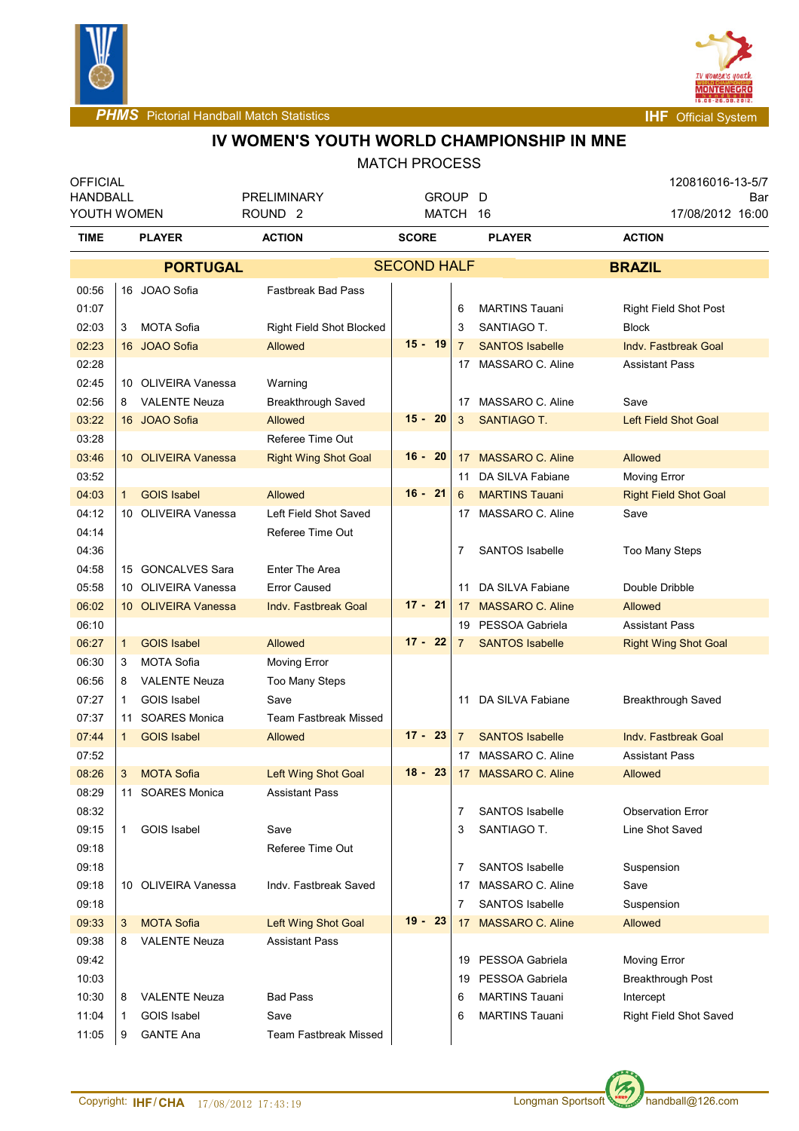



**PHMS** Pictorial Handball Match Statistics **Internal Physics INF** Official System

# **IV WOMEN'S YOUTH WORLD CHAMPIONSHIP IN MNE**

| <b>OFFICIAL</b> |              |                      |                              |                    |                 |                         | 120816016-13-5/7             |  |  |
|-----------------|--------------|----------------------|------------------------------|--------------------|-----------------|-------------------------|------------------------------|--|--|
| HANDBALL        |              |                      | <b>PRELIMINARY</b>           | GROUP D            |                 |                         | Bar                          |  |  |
|                 | YOUTH WOMEN  |                      | ROUND <sub>2</sub>           | MATCH 16           |                 |                         | 17/08/2012 16:00             |  |  |
| TIME            |              | <b>PLAYER</b>        | <b>ACTION</b>                | <b>SCORE</b>       |                 | <b>PLAYER</b>           | <b>ACTION</b>                |  |  |
|                 |              | <b>PORTUGAL</b>      |                              | <b>SECOND HALF</b> |                 |                         | <b>BRAZIL</b>                |  |  |
| 00:56           |              | 16 JOAO Sofia        | <b>Fastbreak Bad Pass</b>    |                    |                 |                         |                              |  |  |
| 01:07           |              |                      |                              |                    | 6               | <b>MARTINS Tauani</b>   | <b>Right Field Shot Post</b> |  |  |
| 02:03           | 3            | <b>MOTA Sofia</b>    | Right Field Shot Blocked     |                    | 3               | SANTIAGO T.             | <b>Block</b>                 |  |  |
| 02:23           |              | 16 JOAO Sofia        | Allowed                      | $15 - 19$          | $\overline{7}$  | <b>SANTOS Isabelle</b>  | <b>Indy. Fastbreak Goal</b>  |  |  |
| 02:28           |              |                      |                              |                    | 17              | MASSARO C. Aline        | <b>Assistant Pass</b>        |  |  |
| 02:45           |              | 10 OLIVEIRA Vanessa  | Warning                      |                    |                 |                         |                              |  |  |
| 02:56           | 8            | <b>VALENTE Neuza</b> | Breakthrough Saved           |                    | 17              | MASSARO C. Aline        | Save                         |  |  |
| 03:22           |              | 16 JOAO Sofia        | <b>Allowed</b>               | $15 - 20$          | 3               | <b>SANTIAGO T.</b>      | <b>Left Field Shot Goal</b>  |  |  |
| 03:28           |              |                      | Referee Time Out             |                    |                 |                         |                              |  |  |
| 03:46           |              | 10 OLIVEIRA Vanessa  | <b>Right Wing Shot Goal</b>  | 16 -<br>- 20       | 17              | <b>MASSARO C. Aline</b> | Allowed                      |  |  |
| 03:52           |              |                      |                              |                    | 11              | DA SILVA Fabiane        | Moving Error                 |  |  |
| 04:03           | 1            | <b>GOIS Isabel</b>   | Allowed                      | $16 - 21$          | 6               | <b>MARTINS Tauani</b>   | <b>Right Field Shot Goal</b> |  |  |
| 04:12           |              | 10 OLIVEIRA Vanessa  | Left Field Shot Saved        |                    | 17              | MASSARO C. Aline        | Save                         |  |  |
| 04:14           |              |                      | Referee Time Out             |                    |                 |                         |                              |  |  |
| 04:36           |              |                      |                              |                    | 7               | <b>SANTOS Isabelle</b>  | <b>Too Many Steps</b>        |  |  |
| 04:58           |              | 15 GONCALVES Sara    | Enter The Area               |                    |                 |                         |                              |  |  |
| 05:58           |              | 10 OLIVEIRA Vanessa  | <b>Error Caused</b>          |                    | 11              | DA SILVA Fabiane        | Double Dribble               |  |  |
| 06:02           |              | 10 OLIVEIRA Vanessa  | <b>Indv. Fastbreak Goal</b>  | $17 - 21$          | 17              | <b>MASSARO C. Aline</b> | Allowed                      |  |  |
| 06:10           |              |                      |                              |                    | 19              | PESSOA Gabriela         | <b>Assistant Pass</b>        |  |  |
| 06:27           | 1            | <b>GOIS Isabel</b>   | Allowed                      | $17 - 22$          | $\overline{7}$  | <b>SANTOS Isabelle</b>  | <b>Right Wing Shot Goal</b>  |  |  |
| 06:30           | 3            | <b>MOTA Sofia</b>    | Moving Error                 |                    |                 |                         |                              |  |  |
| 06:56           | 8            | <b>VALENTE Neuza</b> | Too Many Steps               |                    |                 |                         |                              |  |  |
| 07:27           | 1            | <b>GOIS Isabel</b>   | Save                         |                    | 11              | DA SILVA Fabiane        | Breakthrough Saved           |  |  |
| 07:37           | 11           | <b>SOARES Monica</b> | <b>Team Fastbreak Missed</b> |                    |                 |                         |                              |  |  |
| 07:44           | 1            | <b>GOIS Isabel</b>   | <b>Allowed</b>               | $17 - 23$          | $7^{\circ}$     | <b>SANTOS Isabelle</b>  | <b>Indv. Fastbreak Goal</b>  |  |  |
| 07:52           |              |                      |                              |                    | 17              | MASSARO C. Aline        | <b>Assistant Pass</b>        |  |  |
| 08:26           | 3            | <b>MOTA Sofia</b>    | <b>Left Wing Shot Goal</b>   | $18 - 23$          | 17 <sup>2</sup> | <b>MASSARO C. Aline</b> | Allowed                      |  |  |
| 08:29           |              | 11 SOARES Monica     | <b>Assistant Pass</b>        |                    |                 |                         |                              |  |  |
| 08:32           |              |                      |                              |                    | 7               | <b>SANTOS Isabelle</b>  | <b>Observation Error</b>     |  |  |
| 09:15           | 1            | <b>GOIS Isabel</b>   | Save                         |                    | 3               | SANTIAGO T.             | Line Shot Saved              |  |  |
| 09:18           |              |                      | Referee Time Out             |                    |                 |                         |                              |  |  |
| 09:18           |              |                      |                              |                    | 7               | <b>SANTOS Isabelle</b>  | Suspension                   |  |  |
| 09:18           |              | 10 OLIVEIRA Vanessa  | Indy. Fastbreak Saved        |                    | 17              | MASSARO C. Aline        | Save                         |  |  |
| 09:18           |              |                      |                              |                    | 7               | <b>SANTOS Isabelle</b>  | Suspension                   |  |  |
| 09:33           | 3            | <b>MOTA Sofia</b>    | Left Wing Shot Goal          | $19 -$<br>23       | 17              | <b>MASSARO C. Aline</b> | Allowed                      |  |  |
| 09:38           | 8            | <b>VALENTE Neuza</b> | <b>Assistant Pass</b>        |                    |                 |                         |                              |  |  |
| 09:42           |              |                      |                              |                    | 19              | PESSOA Gabriela         | <b>Moving Error</b>          |  |  |
| 10:03           |              |                      |                              |                    | 19              | PESSOA Gabriela         | Breakthrough Post            |  |  |
| 10:30           | 8            | <b>VALENTE Neuza</b> | <b>Bad Pass</b>              |                    | 6               | <b>MARTINS Tauani</b>   | Intercept                    |  |  |
| 11:04           | $\mathbf{1}$ | <b>GOIS Isabel</b>   | Save                         |                    | 6               | <b>MARTINS Tauani</b>   | Right Field Shot Saved       |  |  |
| 11:05           | 9            | <b>GANTE Ana</b>     | Team Fastbreak Missed        |                    |                 |                         |                              |  |  |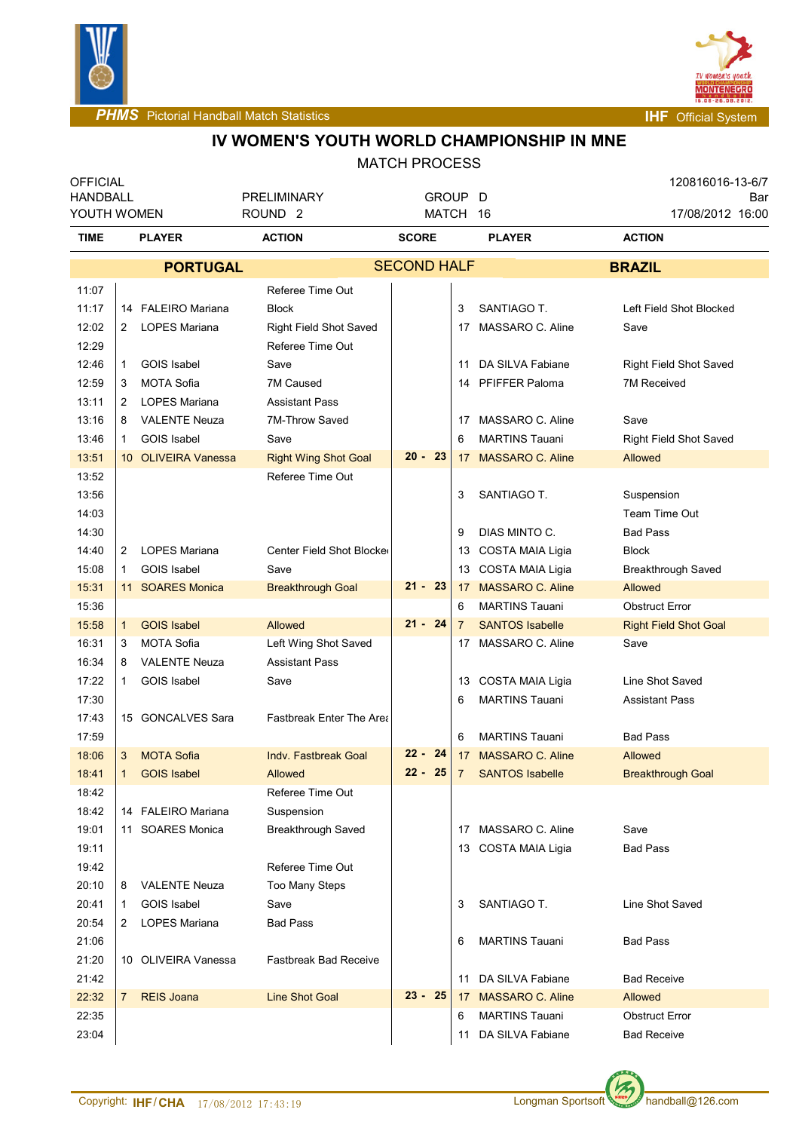



## **IV WOMEN'S YOUTH WORLD CHAMPIONSHIP IN MNE**

| <b>OFFICIAL</b>                |                |                      |                                                   |                     |                            |                           | 120816016-13-6/7 |                               |     |
|--------------------------------|----------------|----------------------|---------------------------------------------------|---------------------|----------------------------|---------------------------|------------------|-------------------------------|-----|
| <b>HANDBALL</b><br>YOUTH WOMEN |                |                      | <b>PRELIMINARY</b><br>ROUND <sub>2</sub>          | GROUP D<br>MATCH 16 |                            |                           |                  | 17/08/2012 16:00              | Bar |
| TIME                           | <b>PLAYER</b>  |                      | <b>ACTION</b><br><b>SCORE</b>                     |                     | <b>PLAYER</b>              |                           |                  | <b>ACTION</b>                 |     |
|                                |                | <b>PORTUGAL</b>      |                                                   | <b>SECOND HALF</b>  |                            |                           |                  | <b>BRAZIL</b>                 |     |
|                                |                |                      |                                                   |                     |                            |                           |                  |                               |     |
| 11:07                          |                |                      | Referee Time Out                                  |                     |                            |                           |                  |                               |     |
| 11:17                          |                | 14 FALEIRO Mariana   | <b>Block</b>                                      |                     | 3                          | SANTIAGO T.               |                  | Left Field Shot Blocked       |     |
| 12:02<br>12:29                 | 2              | LOPES Mariana        | <b>Right Field Shot Saved</b><br>Referee Time Out |                     | 17                         | MASSARO C. Aline          |                  | Save                          |     |
| 12:46                          | $\mathbf{1}$   | <b>GOIS Isabel</b>   | Save                                              |                     | 11                         | DA SILVA Fabiane          |                  | <b>Right Field Shot Saved</b> |     |
| 12:59                          | 3              | <b>MOTA Sofia</b>    | 7M Caused                                         |                     |                            | 14 PFIFFER Paloma         |                  | 7M Received                   |     |
| 13:11                          | 2              | <b>LOPES Mariana</b> | <b>Assistant Pass</b>                             |                     |                            |                           |                  |                               |     |
| 13:16                          | 8              | <b>VALENTE Neuza</b> | 7M-Throw Saved                                    |                     |                            | 17 MASSARO C. Aline       |                  | Save                          |     |
| 13:46                          | $\mathbf{1}$   | <b>GOIS Isabel</b>   | Save                                              |                     | 6                          | <b>MARTINS Tauani</b>     |                  | <b>Right Field Shot Saved</b> |     |
| 13:51                          |                | 10 OLIVEIRA Vanessa  | <b>Right Wing Shot Goal</b>                       | $20 - 23$           |                            | 17 MASSARO C. Aline       |                  | Allowed                       |     |
| 13:52                          |                |                      | Referee Time Out                                  |                     |                            |                           |                  |                               |     |
| 13:56                          |                |                      |                                                   |                     | 3                          | SANTIAGO T.               |                  | Suspension                    |     |
| 14:03                          |                |                      |                                                   |                     |                            |                           |                  | Team Time Out                 |     |
| 14:30                          |                |                      |                                                   |                     | 9                          | DIAS MINTO C.             |                  | <b>Bad Pass</b>               |     |
| 14:40                          | 2              | <b>LOPES Mariana</b> | Center Field Shot Blocke                          |                     |                            | 13 COSTA MAIA Ligia       |                  | <b>Block</b>                  |     |
| 15:08                          | $\mathbf{1}$   | <b>GOIS Isabel</b>   | Save                                              |                     |                            | 13 COSTA MAIA Ligia       |                  | Breakthrough Saved            |     |
| 15:31                          |                | 11 SOARES Monica     | <b>Breakthrough Goal</b>                          | $21 - 23$           |                            | 17 MASSARO C. Aline       |                  | <b>Allowed</b>                |     |
| 15:36                          |                |                      |                                                   |                     | <b>MARTINS Tauani</b><br>6 |                           |                  | <b>Obstruct Error</b>         |     |
| 15:58                          | $\mathbf{1}$   | <b>GOIS Isabel</b>   | <b>Allowed</b>                                    | $21 - 24$           | 7                          | <b>SANTOS Isabelle</b>    |                  | <b>Right Field Shot Goal</b>  |     |
| 16:31                          | 3              | <b>MOTA Sofia</b>    | Left Wing Shot Saved                              |                     |                            | 17 MASSARO C. Aline       |                  | Save                          |     |
| 16:34                          | 8              | <b>VALENTE Neuza</b> | <b>Assistant Pass</b>                             |                     |                            |                           |                  |                               |     |
| 17:22                          | $\mathbf{1}$   | <b>GOIS Isabel</b>   | Save                                              |                     |                            | 13 COSTA MAIA Ligia       |                  | Line Shot Saved               |     |
| 17:30                          |                |                      |                                                   |                     | 6                          | <b>MARTINS Tauani</b>     |                  | <b>Assistant Pass</b>         |     |
| 17:43                          |                | 15 GONCALVES Sara    | <b>Fastbreak Enter The Area</b>                   |                     |                            |                           |                  |                               |     |
| 17:59                          |                |                      |                                                   |                     | 6                          | <b>MARTINS Tauani</b>     |                  | <b>Bad Pass</b>               |     |
| 18:06                          | 3              | <b>MOTA Sofia</b>    | Indv. Fastbreak Goal                              | $22 - 24$           | 17                         | <b>MASSARO C. Aline</b>   |                  | <b>Allowed</b>                |     |
| 18:41                          | $\vert$ 1      | <b>GOIS Isabel</b>   | Allowed                                           |                     |                            | 22 - 25 7 SANTOS Isabelle |                  | <b>Breakthrough Goal</b>      |     |
| 18:42                          |                |                      | Referee Time Out                                  |                     |                            |                           |                  |                               |     |
| 18:42                          |                | 14 FALEIRO Mariana   | Suspension                                        |                     |                            |                           |                  |                               |     |
| 19:01                          |                | 11 SOARES Monica     | <b>Breakthrough Saved</b>                         |                     |                            | 17 MASSARO C. Aline       |                  | Save                          |     |
| 19:11                          |                |                      |                                                   |                     |                            | 13 COSTA MAIA Ligia       |                  | <b>Bad Pass</b>               |     |
| 19:42                          |                |                      | Referee Time Out                                  |                     |                            |                           |                  |                               |     |
| 20:10                          | 8              | <b>VALENTE Neuza</b> | <b>Too Many Steps</b>                             |                     |                            |                           |                  |                               |     |
| 20:41                          | 1              | <b>GOIS Isabel</b>   | Save                                              |                     | 3                          | SANTIAGO T.               |                  | Line Shot Saved               |     |
| 20:54                          | 2              | <b>LOPES Mariana</b> | <b>Bad Pass</b>                                   |                     |                            |                           |                  |                               |     |
| 21:06                          |                |                      |                                                   |                     | 6                          | <b>MARTINS Tauani</b>     |                  | <b>Bad Pass</b>               |     |
| 21:20                          |                | 10 OLIVEIRA Vanessa  | <b>Fastbreak Bad Receive</b>                      |                     |                            |                           |                  |                               |     |
| 21:42                          |                |                      |                                                   |                     |                            | 11 DA SILVA Fabiane       |                  | <b>Bad Receive</b>            |     |
| 22:32                          | 7 <sup>1</sup> | <b>REIS Joana</b>    | <b>Line Shot Goal</b>                             | $23 - 25$           |                            | 17 MASSARO C. Aline       |                  | Allowed                       |     |
| 22:35                          |                |                      |                                                   |                     | 6                          | <b>MARTINS Tauani</b>     |                  | <b>Obstruct Error</b>         |     |
| 23:04                          |                |                      |                                                   |                     | 11                         | DA SILVA Fabiane          |                  | <b>Bad Receive</b>            |     |